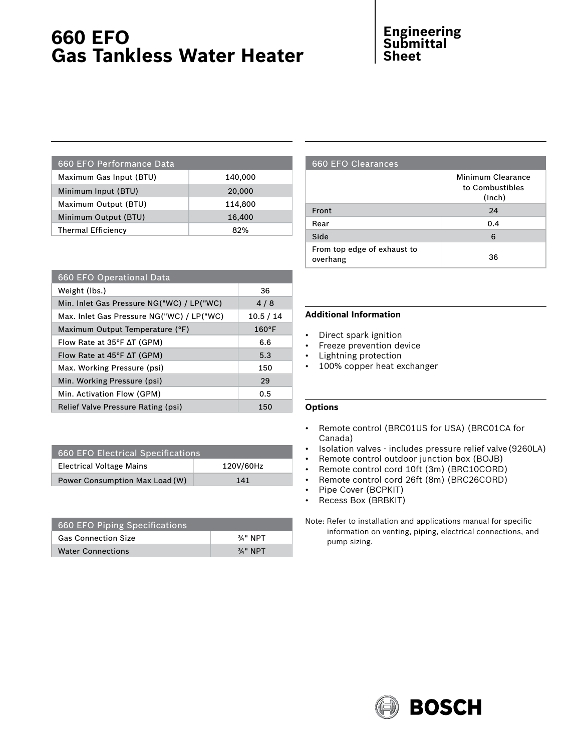# **660 EFO Gas Tankless Water Heater**

## **Engineering Submittal Sheet**

| 660 EFO Performance Data  |         |
|---------------------------|---------|
| Maximum Gas Input (BTU)   | 140,000 |
| Minimum Input (BTU)       | 20,000  |
| Maximum Output (BTU)      | 114,800 |
| Minimum Output (BTU)      | 16,400  |
| <b>Thermal Efficiency</b> | 82%     |
|                           |         |

| 660 EFO Operational Data                     |                 |
|----------------------------------------------|-----------------|
| Weight (lbs.)                                | 36              |
| Min. Inlet Gas Pressure NG("WC) / LP("WC)    | 4/8             |
| Max. Inlet Gas Pressure NG("WC) / LP("WC)    | 10.5 / 14       |
| Maximum Output Temperature (°F)              | $160^{\circ}$ F |
| Flow Rate at 35 $\degree$ F $\Delta$ T (GPM) | 6.6             |
| Flow Rate at $45^{\circ}$ F $\Delta$ T (GPM) | 5.3             |
| Max. Working Pressure (psi)                  | 150             |
| Min. Working Pressure (psi)                  | 29              |
| Min. Activation Flow (GPM)                   | 0.5             |
| Relief Valve Pressure Rating (psi)           | 150             |

| 660 EFO Electrical Specifications |           |
|-----------------------------------|-----------|
| <b>Electrical Voltage Mains</b>   | 120V/60Hz |
| Power Consumption Max Load (W)    | 141       |

| 660 EFO Piping Specifications |                     |  |
|-------------------------------|---------------------|--|
| <b>Gas Connection Size</b>    | 3/4" NPT            |  |
| <b>Water Connections</b>      | $\frac{3}{4}$ " NPT |  |

### 660 EFO Clearances

|                                         | Minimum Clearance<br>to Combustibles<br>(Inch) |
|-----------------------------------------|------------------------------------------------|
| Front                                   | 24                                             |
| Rear                                    | 0.4                                            |
| Side                                    | 6                                              |
| From top edge of exhaust to<br>overhang | 36                                             |

#### **Additional Information**

- • Direct spark ignition
- • Freeze prevention device
- • Lightning protection
- • 100% copper heat exchanger

#### **Options**

- • Remote control (BRC01US for USA) (BRC01CA for Canada)
- Isolation valves includes pressure relief valve (9260LA)
- • Remote control outdoor junction box (BOJB)
- • Remote control cord 10ft (3m) (BRC10CORD)
- • Remote control cord 26ft (8m) (BRC26CORD)
- Pipe Cover (BCPKIT)
- • Recess Box (BRBKIT)

Note: Refer to installation and applications manual for specific information on venting, piping, electrical connections, and pump sizing.